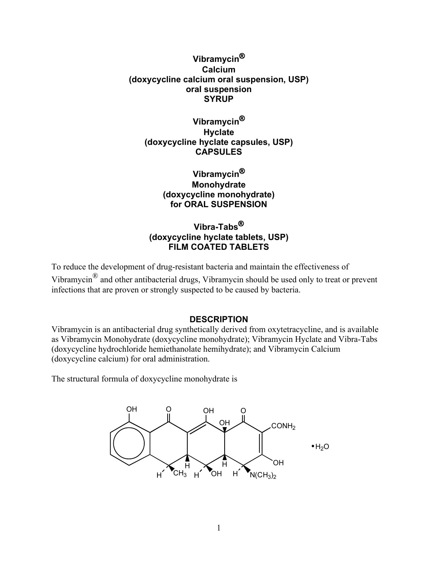# **Vibramycin**® **Calcium (doxycycline calcium oral suspension, USP) oral suspension SYRUP**

# **Vibramycin**® **Hyclate (doxycycline hyclate capsules, USP) CAPSULES**

# **Vibramycin**® **Monohydrate (doxycycline monohydrate) for ORAL SUSPENSION**

# **Vibra-Tabs**® **(doxycycline hyclate tablets, USP) FILM COATED TABLETS**

To reduce the development of drug-resistant bacteria and maintain the effectiveness of Vibramycin® and other antibacterial drugs, Vibramycin should be used only to treat or prevent infections that are proven or strongly suspected to be caused by bacteria.

# **DESCRIPTION**

Vibramycin is an antibacterial drug synthetically derived from oxytetracycline, and is available as Vibramycin Monohydrate (doxycycline monohydrate); Vibramycin Hyclate and Vibra-Tabs (doxycycline hydrochloride hemiethanolate hemihydrate); and Vibramycin Calcium (doxycycline calcium) for oral administration.

The structural formula of doxycycline monohydrate is

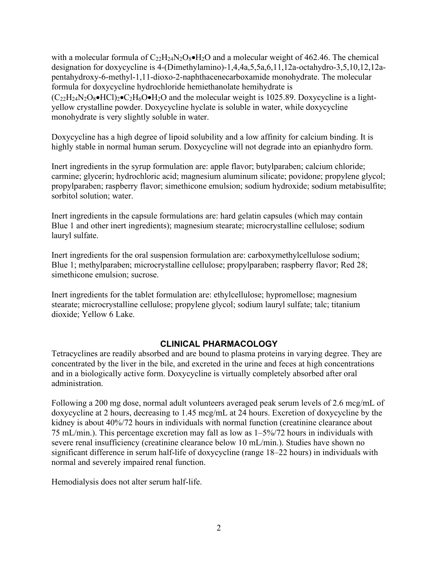with a molecular formula of  $C_{22}H_{24}N_2O_8\bullet H_2O$  and a molecular weight of 462.46. The chemical designation for doxycycline is 4-(Dimethylamino)-1,4,4a,5,5a,6,11,12a-octahydro-3,5,10,12,12apentahydroxy-6-methyl-1,11-dioxo-2-naphthacenecarboxamide monohydrate. The molecular formula for doxycycline hydrochloride hemiethanolate hemihydrate is  $(C_{22}H_{24}N_2O_8\bullet HC_1)_2\bullet C_2H_6O\bullet H_2O$  and the molecular weight is 1025.89. Doxycycline is a lightyellow crystalline powder. Doxycycline hyclate is soluble in water, while doxycycline monohydrate is very slightly soluble in water.

Doxycycline has a high degree of lipoid solubility and a low affinity for calcium binding. It is highly stable in normal human serum. Doxycycline will not degrade into an epianhydro form.

Inert ingredients in the syrup formulation are: apple flavor; butylparaben; calcium chloride; carmine; glycerin; hydrochloric acid; magnesium aluminum silicate; povidone; propylene glycol; propylparaben; raspberry flavor; simethicone emulsion; sodium hydroxide; sodium metabisulfite; sorbitol solution; water.

Inert ingredients in the capsule formulations are: hard gelatin capsules (which may contain Blue 1 and other inert ingredients); magnesium stearate; microcrystalline cellulose; sodium lauryl sulfate.

Inert ingredients for the oral suspension formulation are: carboxymethylcellulose sodium; Blue 1; methylparaben; microcrystalline cellulose; propylparaben; raspberry flavor; Red 28; simethicone emulsion; sucrose.

Inert ingredients for the tablet formulation are: ethylcellulose; hypromellose; magnesium stearate; microcrystalline cellulose; propylene glycol; sodium lauryl sulfate; talc; titanium dioxide; Yellow 6 Lake.

# **CLINICAL PHARMACOLOGY**

Tetracyclines are readily absorbed and are bound to plasma proteins in varying degree. They are concentrated by the liver in the bile, and excreted in the urine and feces at high concentrations and in a biologically active form. Doxycycline is virtually completely absorbed after oral administration.

Following a 200 mg dose, normal adult volunteers averaged peak serum levels of 2.6 mcg/mL of doxycycline at 2 hours, decreasing to 1.45 mcg/mL at 24 hours. Excretion of doxycycline by the kidney is about 40%/72 hours in individuals with normal function (creatinine clearance about 75 mL/min.). This percentage excretion may fall as low as 1–5%/72 hours in individuals with severe renal insufficiency (creatinine clearance below 10 mL/min.). Studies have shown no significant difference in serum half-life of doxycycline (range 18–22 hours) in individuals with normal and severely impaired renal function.

Hemodialysis does not alter serum half-life.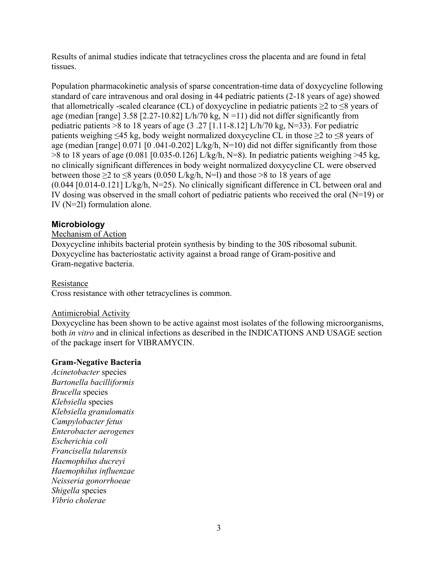Results of animal studies indicate that tetracyclines cross the placenta and are found in fetal tissues.

Population pharmacokinetic analysis of sparse concentration-time data of doxycycline following standard of care intravenous and oral dosing in 44 pediatric patients (2-18 years of age) showed that allometrically -scaled clearance (CL) of doxycycline in pediatric patients  $\geq 2$  to  $\leq 8$  years of age (median [range]  $3.58$  [2.27-10.82] L/h/70 kg, N =11) did not differ significantly from pediatric patients >8 to 18 years of age  $(3.27 \, [1.11-8.12] \, L/h/70 \, kg, N=33)$ . For pediatric patients weighing  $\leq 45$  kg, body weight normalized doxycycline CL in those  $\geq 2$  to  $\leq 8$  years of age (median [range] 0.071 [0.041-0.202] L/kg/h, N=10) did not differ significantly from those  $>8$  to 18 years of age (0.081 [0.035-0.126] L/kg/h, N=8). In pediatric patients weighing  $>45$  kg, no clinically significant differences in body weight normalized doxycycline CL were observed between those  $\geq$  to  $\leq$ 8 years (0.050 L/kg/h, N=1) and those >8 to 18 years of age (0.044 [0.014-0.121] L/kg/h, N=25). No clinically significant difference in CL between oral and IV dosing was observed in the small cohort of pediatric patients who received the oral (N=19) or IV (N=2l) formulation alone.

# **Microbiology**

## Mechanism of Action

Doxycycline inhibits bacterial protein synthesis by binding to the 30S ribosomal subunit. Doxycycline has bacteriostatic activity against a broad range of Gram-positive and Gram-negative bacteria.

## Resistance

Cross resistance with other tetracyclines is common.

## Antimicrobial Activity

Doxycycline has been shown to be active against most isolates of the following microorganisms, both *in vitro* and in clinical infections as described in the INDICATIONS AND USAGE section of the package insert for VIBRAMYCIN.

## **Gram-Negative Bacteria**

*Acinetobacter* species *Bartonella bacilliformis Brucella* species *Klebsiella* species *Klebsiella granulomatis Campylobacter fetus Enterobacter aerogenes Escherichia coli Francisella tularensis Haemophilus ducreyi Haemophilus influenzae Neisseria gonorrhoeae Shigella* species *Vibrio cholerae*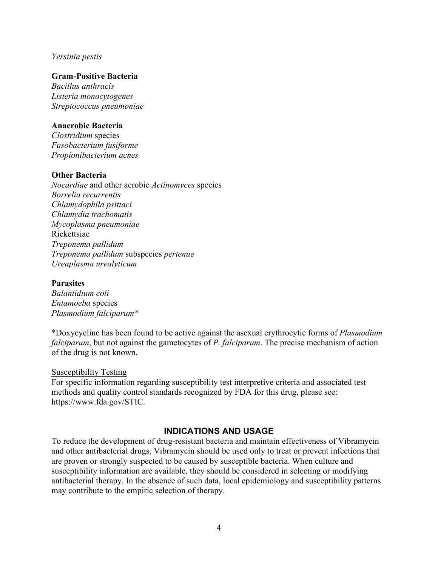#### *Yersinia pestis*

### **Gram-Positive Bacteria**

*Bacillus anthracis Listeria monocytogenes Streptococcus pneumoniae*

### **Anaerobic Bacteria**

*Clostridium* species *Fusobacterium fusiforme Propionibacterium acnes*

### **Other Bacteria**

*Nocardiae* and other aerobic *Actinomyces* species *Borrelia recurrentis Chlamydophila psittaci Chlamydia trachomatis Mycoplasma pneumoniae* Rickettsiae *Treponema pallidum Treponema pallidum* subspecies *pertenue Ureaplasma urealyticum*

#### **Parasites**

*Balantidium coli Entamoeba* species *Plasmodium falciparum\**

\*Doxycycline has been found to be active against the asexual erythrocytic forms of *Plasmodium falciparum*, but not against the gametocytes of *P. falciparum*. The precise mechanism of action of the drug is not known.

#### Susceptibility Testing

For specific information regarding susceptibility test interpretive criteria and associated test methods and quality control standards recognized by FDA for this drug, please see: [https://www.fda.gov/STIC.](https://www.fda.gov/STIC)

#### **INDICATIONS AND USAGE**

To reduce the development of drug-resistant bacteria and maintain effectiveness of Vibramycin and other antibacterial drugs, Vibramycin should be used only to treat or prevent infections that are proven or strongly suspected to be caused by susceptible bacteria. When culture and susceptibility information are available, they should be considered in selecting or modifying antibacterial therapy. In the absence of such data, local epidemiology and susceptibility patterns may contribute to the empiric selection of therapy.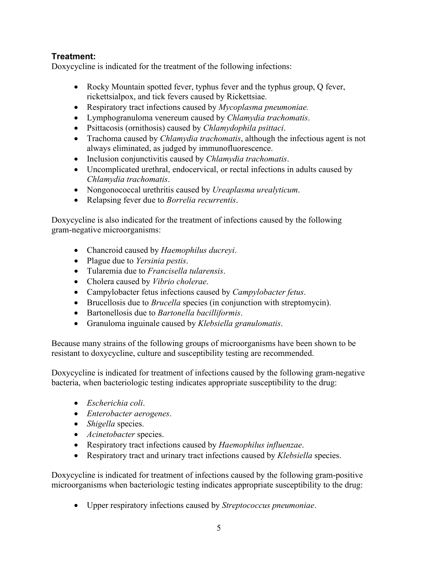# **Treatment:**

Doxycycline is indicated for the treatment of the following infections:

- Rocky Mountain spotted fever, typhus fever and the typhus group, Q fever, rickettsialpox, and tick fevers caused by Rickettsiae.
- Respiratory tract infections caused by *Mycoplasma pneumoniae.*
- Lymphogranuloma venereum caused by *Chlamydia trachomatis*.
- Psittacosis (ornithosis) caused by *Chlamydophila psittaci*.
- Trachoma caused by *Chlamydia trachomatis*, although the infectious agent is not always eliminated, as judged by immunofluorescence.
- Inclusion conjunctivitis caused by *Chlamydia trachomatis*.
- Uncomplicated urethral, endocervical, or rectal infections in adults caused by *Chlamydia trachomatis*.
- Nongonococcal urethritis caused by *Ureaplasma urealyticum*.
- Relapsing fever due to *Borrelia recurrentis*.

Doxycycline is also indicated for the treatment of infections caused by the following gram-negative microorganisms:

- Chancroid caused by *Haemophilus ducreyi*.
- Plague due to *Yersinia pestis*.
- Tularemia due to *Francisella tularensis*.
- Cholera caused by *Vibrio cholerae*.
- Campylobacter fetus infections caused by *Campylobacter fetus*.
- Brucellosis due to *Brucella* species (in conjunction with streptomycin).
- Bartonellosis due to *Bartonella bacilliformis*.
- Granuloma inguinale caused by *Klebsiella granulomatis*.

Because many strains of the following groups of microorganisms have been shown to be resistant to doxycycline, culture and susceptibility testing are recommended.

Doxycycline is indicated for treatment of infections caused by the following gram-negative bacteria, when bacteriologic testing indicates appropriate susceptibility to the drug:

- *Escherichia coli*.
- *Enterobacter aerogenes*.
- *Shigella* species.
- *Acinetobacter* species.
- Respiratory tract infections caused by *Haemophilus influenzae*.
- Respiratory tract and urinary tract infections caused by *Klebsiella* species.

Doxycycline is indicated for treatment of infections caused by the following gram-positive microorganisms when bacteriologic testing indicates appropriate susceptibility to the drug:

• Upper respiratory infections caused by *Streptococcus pneumoniae*.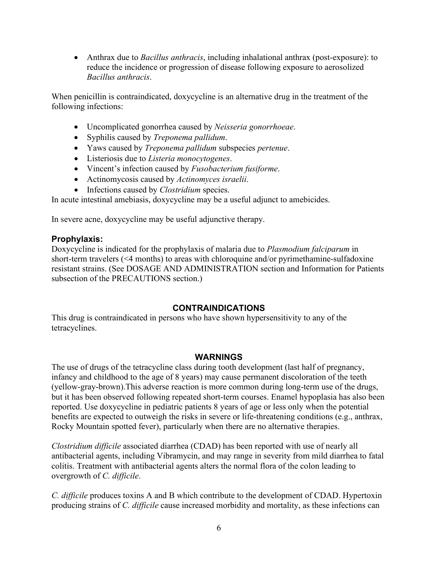• Anthrax due to *Bacillus anthracis*, including inhalational anthrax (post-exposure): to reduce the incidence or progression of disease following exposure to aerosolized *Bacillus anthracis*.

When penicillin is contraindicated, doxycycline is an alternative drug in the treatment of the following infections:

- Uncomplicated gonorrhea caused by *Neisseria gonorrhoeae*.
- Syphilis caused by *Treponema pallidum*.
- Yaws caused by *Treponema pallidum* subspecies *pertenue*.
- Listeriosis due to *Listeria monocytogenes*.
- Vincent's infection caused by *Fusobacterium fusiforme*.
- Actinomycosis caused by *Actinomyces israelii*.
- Infections caused by *Clostridium* species.

In acute intestinal amebiasis, doxycycline may be a useful adjunct to amebicides.

In severe acne, doxycycline may be useful adjunctive therapy.

# **Prophylaxis:**

Doxycycline is indicated for the prophylaxis of malaria due to *Plasmodium falciparum* in short-term travelers (<4 months) to areas with chloroquine and/or pyrimethamine-sulfadoxine resistant strains. (See DOSAGE AND ADMINISTRATION section and Information for Patients subsection of the PRECAUTIONS section.)

# **CONTRAINDICATIONS**

This drug is contraindicated in persons who have shown hypersensitivity to any of the tetracyclines.

## **WARNINGS**

The use of drugs of the tetracycline class during tooth development (last half of pregnancy, infancy and childhood to the age of 8 years) may cause permanent discoloration of the teeth (yellow-gray-brown).This adverse reaction is more common during long-term use of the drugs, but it has been observed following repeated short-term courses. Enamel hypoplasia has also been reported. Use doxycycline in pediatric patients 8 years of age or less only when the potential benefits are expected to outweigh the risks in severe or life-threatening conditions (e.g., anthrax, Rocky Mountain spotted fever), particularly when there are no alternative therapies.

*Clostridium difficile* associated diarrhea (CDAD) has been reported with use of nearly all antibacterial agents, including Vibramycin, and may range in severity from mild diarrhea to fatal colitis. Treatment with antibacterial agents alters the normal flora of the colon leading to overgrowth of *C. difficile*.

*C. difficile* produces toxins A and B which contribute to the development of CDAD. Hypertoxin producing strains of *C. difficile* cause increased morbidity and mortality, as these infections can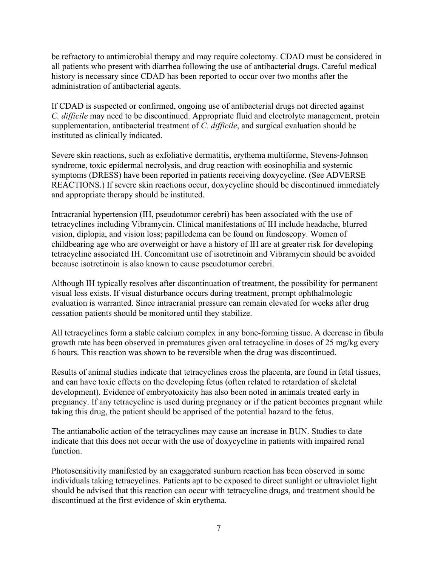be refractory to antimicrobial therapy and may require colectomy. CDAD must be considered in all patients who present with diarrhea following the use of antibacterial drugs. Careful medical history is necessary since CDAD has been reported to occur over two months after the administration of antibacterial agents.

If CDAD is suspected or confirmed, ongoing use of antibacterial drugs not directed against *C. difficile* may need to be discontinued. Appropriate fluid and electrolyte management, protein supplementation, antibacterial treatment of *C. difficile*, and surgical evaluation should be instituted as clinically indicated.

Severe skin reactions, such as exfoliative dermatitis, erythema multiforme, Stevens-Johnson syndrome, toxic epidermal necrolysis, and drug reaction with eosinophilia and systemic symptoms (DRESS) have been reported in patients receiving doxycycline. (See ADVERSE REACTIONS.) If severe skin reactions occur, doxycycline should be discontinued immediately and appropriate therapy should be instituted.

Intracranial hypertension (IH, pseudotumor cerebri) has been associated with the use of tetracyclines including Vibramycin. Clinical manifestations of IH include headache, blurred vision, diplopia, and vision loss; papilledema can be found on fundoscopy. Women of childbearing age who are overweight or have a history of IH are at greater risk for developing tetracycline associated IH. Concomitant use of isotretinoin and Vibramycin should be avoided because isotretinoin is also known to cause pseudotumor cerebri.

Although IH typically resolves after discontinuation of treatment, the possibility for permanent visual loss exists. If visual disturbance occurs during treatment, prompt ophthalmologic evaluation is warranted. Since intracranial pressure can remain elevated for weeks after drug cessation patients should be monitored until they stabilize.

All tetracyclines form a stable calcium complex in any bone-forming tissue. A decrease in fibula growth rate has been observed in prematures given oral tetracycline in doses of 25 mg/kg every 6 hours. This reaction was shown to be reversible when the drug was discontinued.

Results of animal studies indicate that tetracyclines cross the placenta, are found in fetal tissues, and can have toxic effects on the developing fetus (often related to retardation of skeletal development). Evidence of embryotoxicity has also been noted in animals treated early in pregnancy. If any tetracycline is used during pregnancy or if the patient becomes pregnant while taking this drug, the patient should be apprised of the potential hazard to the fetus.

The antianabolic action of the tetracyclines may cause an increase in BUN. Studies to date indicate that this does not occur with the use of doxycycline in patients with impaired renal function.

Photosensitivity manifested by an exaggerated sunburn reaction has been observed in some individuals taking tetracyclines. Patients apt to be exposed to direct sunlight or ultraviolet light should be advised that this reaction can occur with tetracycline drugs, and treatment should be discontinued at the first evidence of skin erythema.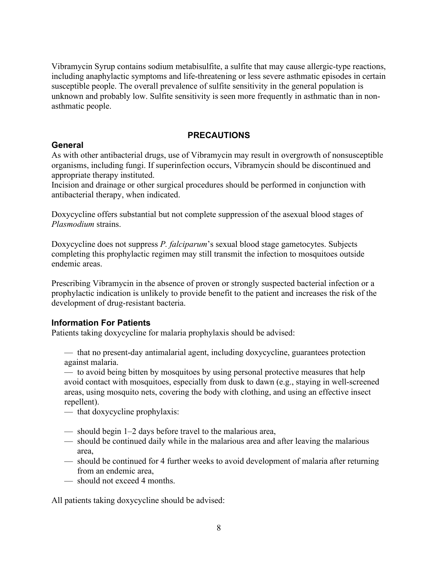Vibramycin Syrup contains sodium metabisulfite, a sulfite that may cause allergic-type reactions, including anaphylactic symptoms and life-threatening or less severe asthmatic episodes in certain susceptible people. The overall prevalence of sulfite sensitivity in the general population is unknown and probably low. Sulfite sensitivity is seen more frequently in asthmatic than in nonasthmatic people.

# **PRECAUTIONS**

# **General**

As with other antibacterial drugs, use of Vibramycin may result in overgrowth of nonsusceptible organisms, including fungi. If superinfection occurs, Vibramycin should be discontinued and appropriate therapy instituted.

Incision and drainage or other surgical procedures should be performed in conjunction with antibacterial therapy, when indicated.

Doxycycline offers substantial but not complete suppression of the asexual blood stages of *Plasmodium* strains.

Doxycycline does not suppress *P. falciparum*'s sexual blood stage gametocytes. Subjects completing this prophylactic regimen may still transmit the infection to mosquitoes outside endemic areas.

Prescribing Vibramycin in the absence of proven or strongly suspected bacterial infection or a prophylactic indication is unlikely to provide benefit to the patient and increases the risk of the development of drug-resistant bacteria.

# **Information For Patients**

Patients taking doxycycline for malaria prophylaxis should be advised:

— that no present-day antimalarial agent, including doxycycline, guarantees protection against malaria.

— to avoid being bitten by mosquitoes by using personal protective measures that help avoid contact with mosquitoes, especially from dusk to dawn (e.g., staying in well-screened areas, using mosquito nets, covering the body with clothing, and using an effective insect repellent).

- that doxycycline prophylaxis:
- should begin 1–2 days before travel to the malarious area,
- should be continued daily while in the malarious area and after leaving the malarious area,
- should be continued for 4 further weeks to avoid development of malaria after returning from an endemic area,
- should not exceed 4 months.

All patients taking doxycycline should be advised: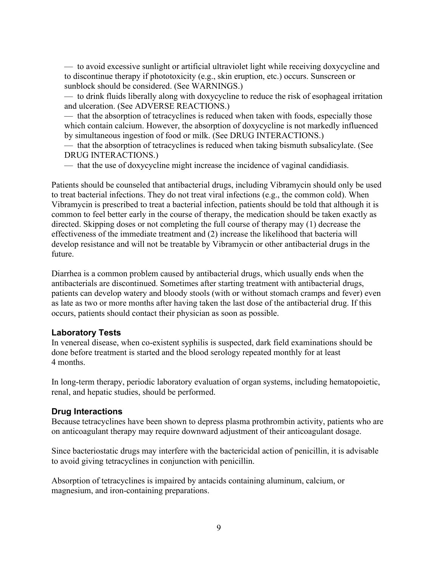— to avoid excessive sunlight or artificial ultraviolet light while receiving doxycycline and to discontinue therapy if phototoxicity (e.g., skin eruption, etc.) occurs. Sunscreen or sunblock should be considered. (See WARNINGS.)

— to drink fluids liberally along with doxycycline to reduce the risk of esophageal irritation and ulceration. (See ADVERSE REACTIONS.)

— that the absorption of tetracyclines is reduced when taken with foods, especially those which contain calcium. However, the absorption of doxycycline is not markedly influenced by simultaneous ingestion of food or milk. (See DRUG INTERACTIONS.)

— that the absorption of tetracyclines is reduced when taking bismuth subsalicylate. (See DRUG INTERACTIONS.)

— that the use of doxycycline might increase the incidence of vaginal candidiasis.

Patients should be counseled that antibacterial drugs, including Vibramycin should only be used to treat bacterial infections. They do not treat viral infections (e.g., the common cold). When Vibramycin is prescribed to treat a bacterial infection, patients should be told that although it is common to feel better early in the course of therapy, the medication should be taken exactly as directed. Skipping doses or not completing the full course of therapy may (1) decrease the effectiveness of the immediate treatment and (2) increase the likelihood that bacteria will develop resistance and will not be treatable by Vibramycin or other antibacterial drugs in the future.

Diarrhea is a common problem caused by antibacterial drugs, which usually ends when the antibacterials are discontinued. Sometimes after starting treatment with antibacterial drugs, patients can develop watery and bloody stools (with or without stomach cramps and fever) even as late as two or more months after having taken the last dose of the antibacterial drug. If this occurs, patients should contact their physician as soon as possible.

## **Laboratory Tests**

In venereal disease, when co-existent syphilis is suspected, dark field examinations should be done before treatment is started and the blood serology repeated monthly for at least 4 months.

In long-term therapy, periodic laboratory evaluation of organ systems, including hematopoietic, renal, and hepatic studies, should be performed.

# **Drug Interactions**

Because tetracyclines have been shown to depress plasma prothrombin activity, patients who are on anticoagulant therapy may require downward adjustment of their anticoagulant dosage.

Since bacteriostatic drugs may interfere with the bactericidal action of penicillin, it is advisable to avoid giving tetracyclines in conjunction with penicillin.

Absorption of tetracyclines is impaired by antacids containing aluminum, calcium, or magnesium, and iron-containing preparations.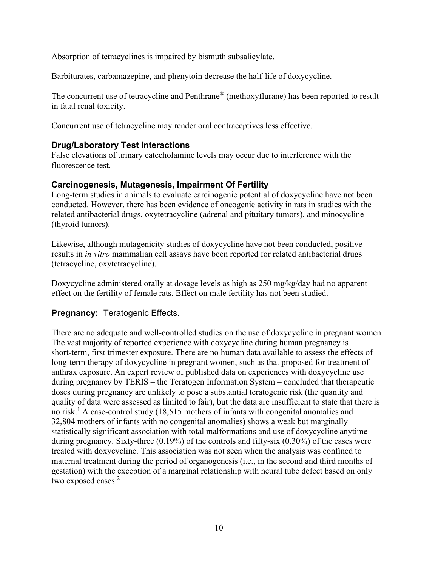Absorption of tetracyclines is impaired by bismuth subsalicylate.

Barbiturates, carbamazepine, and phenytoin decrease the half-life of doxycycline.

The concurrent use of tetracycline and Penthrane<sup>®</sup> (methoxyflurane) has been reported to result in fatal renal toxicity.

Concurrent use of tetracycline may render oral contraceptives less effective.

# **Drug/Laboratory Test Interactions**

False elevations of urinary catecholamine levels may occur due to interference with the fluorescence test.

# **Carcinogenesis, Mutagenesis, Impairment Of Fertility**

Long-term studies in animals to evaluate carcinogenic potential of doxycycline have not been conducted. However, there has been evidence of oncogenic activity in rats in studies with the related antibacterial drugs, oxytetracycline (adrenal and pituitary tumors), and minocycline (thyroid tumors).

Likewise, although mutagenicity studies of doxycycline have not been conducted, positive results in *in vitro* mammalian cell assays have been reported for related antibacterial drugs (tetracycline, oxytetracycline).

Doxycycline administered orally at dosage levels as high as 250 mg/kg/day had no apparent effect on the fertility of female rats. Effect on male fertility has not been studied.

# **Pregnancy:** Teratogenic Effects.

There are no adequate and well-controlled studies on the use of doxycycline in pregnant women. The vast majority of reported experience with doxycycline during human pregnancy is short-term, first trimester exposure. There are no human data available to assess the effects of long-term therapy of doxycycline in pregnant women, such as that proposed for treatment of anthrax exposure. An expert review of published data on experiences with doxycycline use during pregnancy by TERIS – the Teratogen Information System – concluded that therapeutic doses during pregnancy are unlikely to pose a substantial teratogenic risk (the quantity and quality of data were assessed as limited to fair), but the data are insufficient to state that there is no risk.<sup>1</sup> A case-control study (18,515 mothers of infants with congenital anomalies and 32,804 mothers of infants with no congenital anomalies) shows a weak but marginally statistically significant association with total malformations and use of doxycycline anytime during pregnancy. Sixty-three (0.19%) of the controls and fifty-six (0.30%) of the cases were treated with doxycycline. This association was not seen when the analysis was confined to maternal treatment during the period of organogenesis (i.e., in the second and third months of gestation) with the exception of a marginal relationship with neural tube defect based on only two exposed cases. 2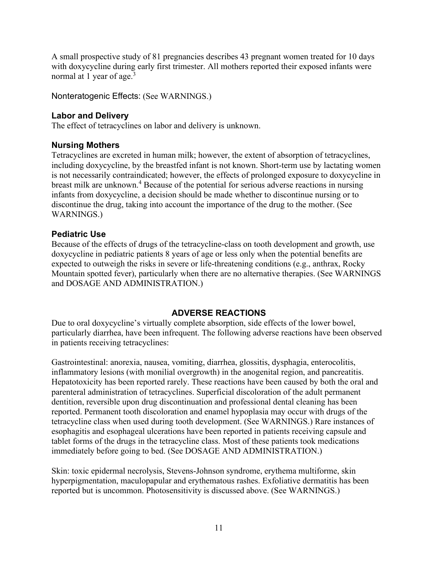A small prospective study of 81 pregnancies describes 43 pregnant women treated for 10 days with doxycycline during early first trimester. All mothers reported their exposed infants were normal at 1 year of age.<sup>3</sup>

Nonteratogenic Effects: (See WARNINGS.)

# **Labor and Delivery**

The effect of tetracyclines on labor and delivery is unknown.

# **Nursing Mothers**

Tetracyclines are excreted in human milk; however, the extent of absorption of tetracyclines, including doxycycline, by the breastfed infant is not known. Short-term use by lactating women is not necessarily contraindicated; however, the effects of prolonged exposure to doxycycline in breast milk are unknown. <sup>4</sup> Because of the potential for serious adverse reactions in nursing infants from doxycycline, a decision should be made whether to discontinue nursing or to discontinue the drug, taking into account the importance of the drug to the mother. (See WARNINGS.)

# **Pediatric Use**

Because of the effects of drugs of the tetracycline-class on tooth development and growth, use doxycycline in pediatric patients 8 years of age or less only when the potential benefits are expected to outweigh the risks in severe or life-threatening conditions (e.g., anthrax, Rocky Mountain spotted fever), particularly when there are no alternative therapies. (See WARNINGS and DOSAGE AND ADMINISTRATION.)

# **ADVERSE REACTIONS**

Due to oral doxycycline's virtually complete absorption, side effects of the lower bowel, particularly diarrhea, have been infrequent. The following adverse reactions have been observed in patients receiving tetracyclines:

Gastrointestinal: anorexia, nausea, vomiting, diarrhea, glossitis, dysphagia, enterocolitis, inflammatory lesions (with monilial overgrowth) in the anogenital region, and pancreatitis. Hepatotoxicity has been reported rarely. These reactions have been caused by both the oral and parenteral administration of tetracyclines. Superficial discoloration of the adult permanent dentition, reversible upon drug discontinuation and professional dental cleaning has been reported. Permanent tooth discoloration and enamel hypoplasia may occur with drugs of the tetracycline class when used during tooth development. (See WARNINGS.) Rare instances of esophagitis and esophageal ulcerations have been reported in patients receiving capsule and tablet forms of the drugs in the tetracycline class. Most of these patients took medications immediately before going to bed. (See DOSAGE AND ADMINISTRATION.)

Skin: toxic epidermal necrolysis, Stevens-Johnson syndrome, erythema multiforme, skin hyperpigmentation, maculopapular and erythematous rashes. Exfoliative dermatitis has been reported but is uncommon. Photosensitivity is discussed above. (See WARNINGS.)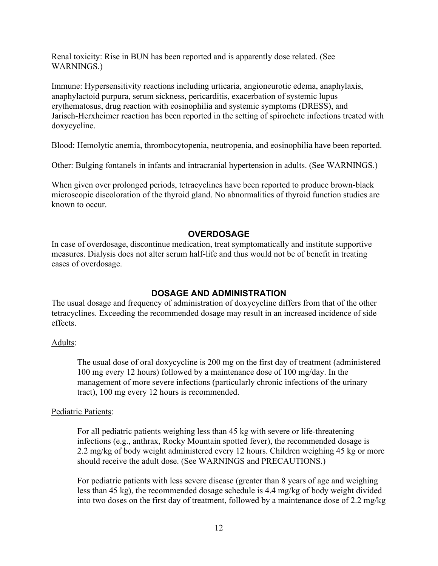Renal toxicity: Rise in BUN has been reported and is apparently dose related. (See WARNINGS.)

Immune: Hypersensitivity reactions including urticaria, angioneurotic edema, anaphylaxis, anaphylactoid purpura, serum sickness, pericarditis, exacerbation of systemic lupus erythematosus, drug reaction with eosinophilia and systemic symptoms (DRESS), and Jarisch-Herxheimer reaction has been reported in the setting of spirochete infections treated with doxycycline.

Blood: Hemolytic anemia, thrombocytopenia, neutropenia, and eosinophilia have been reported.

Other: Bulging fontanels in infants and intracranial hypertension in adults. (See WARNINGS.)

When given over prolonged periods, tetracyclines have been reported to produce brown-black microscopic discoloration of the thyroid gland. No abnormalities of thyroid function studies are known to occur.

## **OVERDOSAGE**

In case of overdosage, discontinue medication, treat symptomatically and institute supportive measures. Dialysis does not alter serum half-life and thus would not be of benefit in treating cases of overdosage.

# **DOSAGE AND ADMINISTRATION**

The usual dosage and frequency of administration of doxycycline differs from that of the other tetracyclines. Exceeding the recommended dosage may result in an increased incidence of side effects.

## Adults:

The usual dose of oral doxycycline is 200 mg on the first day of treatment (administered 100 mg every 12 hours) followed by a maintenance dose of 100 mg/day. In the management of more severe infections (particularly chronic infections of the urinary tract), 100 mg every 12 hours is recommended.

## Pediatric Patients:

For all pediatric patients weighing less than 45 kg with severe or life-threatening infections (e.g., anthrax, Rocky Mountain spotted fever), the recommended dosage is 2.2 mg/kg of body weight administered every 12 hours. Children weighing 45 kg or more should receive the adult dose. (See WARNINGS and PRECAUTIONS.)

For pediatric patients with less severe disease (greater than 8 years of age and weighing less than 45 kg), the recommended dosage schedule is 4.4 mg/kg of body weight divided into two doses on the first day of treatment, followed by a maintenance dose of 2.2 mg/kg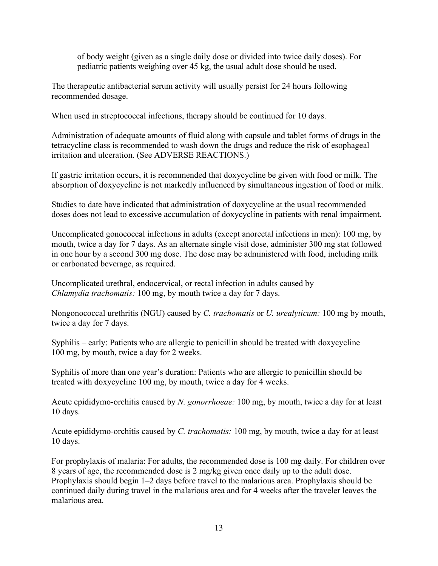of body weight (given as a single daily dose or divided into twice daily doses). For pediatric patients weighing over 45 kg, the usual adult dose should be used.

The therapeutic antibacterial serum activity will usually persist for 24 hours following recommended dosage.

When used in streptococcal infections, therapy should be continued for 10 days.

Administration of adequate amounts of fluid along with capsule and tablet forms of drugs in the tetracycline class is recommended to wash down the drugs and reduce the risk of esophageal irritation and ulceration. (See ADVERSE REACTIONS.)

If gastric irritation occurs, it is recommended that doxycycline be given with food or milk. The absorption of doxycycline is not markedly influenced by simultaneous ingestion of food or milk.

Studies to date have indicated that administration of doxycycline at the usual recommended doses does not lead to excessive accumulation of doxycycline in patients with renal impairment.

Uncomplicated gonococcal infections in adults (except anorectal infections in men): 100 mg, by mouth, twice a day for 7 days. As an alternate single visit dose, administer 300 mg stat followed in one hour by a second 300 mg dose. The dose may be administered with food, including milk or carbonated beverage, as required.

Uncomplicated urethral, endocervical, or rectal infection in adults caused by *Chlamydia trachomatis:* 100 mg, by mouth twice a day for 7 days.

Nongonococcal urethritis (NGU) caused by *C. trachomatis* or *U. urealyticum:* 100 mg by mouth, twice a day for 7 days.

Syphilis – early: Patients who are allergic to penicillin should be treated with doxycycline 100 mg, by mouth, twice a day for 2 weeks.

Syphilis of more than one year's duration: Patients who are allergic to penicillin should be treated with doxycycline 100 mg, by mouth, twice a day for 4 weeks.

Acute epididymo-orchitis caused by *N. gonorrhoeae:* 100 mg, by mouth, twice a day for at least 10 days.

Acute epididymo-orchitis caused by *C. trachomatis:* 100 mg, by mouth, twice a day for at least 10 days.

For prophylaxis of malaria: For adults, the recommended dose is 100 mg daily. For children over 8 years of age, the recommended dose is 2 mg/kg given once daily up to the adult dose. Prophylaxis should begin 1–2 days before travel to the malarious area. Prophylaxis should be continued daily during travel in the malarious area and for 4 weeks after the traveler leaves the malarious area.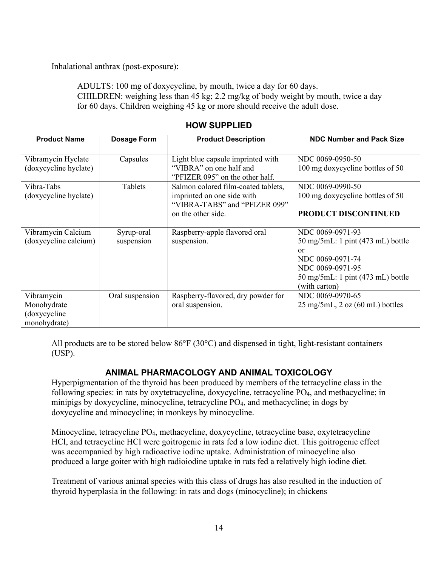Inhalational anthrax (post-exposure):

ADULTS: 100 mg of doxycycline, by mouth, twice a day for 60 days. CHILDREN: weighing less than 45 kg; 2.2 mg/kg of body weight by mouth, twice a day for 60 days. Children weighing 45 kg or more should receive the adult dose.

| <b>Product Name</b>                                       | Dosage Form              | <b>Product Description</b>                                                                                               | <b>NDC Number and Pack Size</b>                                                                                                                                                                |
|-----------------------------------------------------------|--------------------------|--------------------------------------------------------------------------------------------------------------------------|------------------------------------------------------------------------------------------------------------------------------------------------------------------------------------------------|
| Vibramycin Hyclate<br>(doxycycline hyclate)               | Capsules                 | Light blue capsule imprinted with<br>"VIBRA" on one half and<br>"PFIZER 095" on the other half.                          | NDC 0069-0950-50<br>100 mg doxycycline bottles of 50                                                                                                                                           |
| Vibra-Tabs<br>(doxycycline hyclate)                       | Tablets                  | Salmon colored film-coated tablets,<br>imprinted on one side with<br>"VIBRA-TABS" and "PFIZER 099"<br>on the other side. | NDC 0069-0990-50<br>100 mg doxycycline bottles of 50<br><b>PRODUCT DISCONTINUED</b>                                                                                                            |
| Vibramycin Calcium<br>(doxycycline calcium)               | Syrup-oral<br>suspension | Raspberry-apple flavored oral<br>suspension.                                                                             | NDC 0069-0971-93<br>$50 \text{ mg}/5 \text{m}$ . 1 pint (473 mL) bottle<br>or<br>NDC 0069-0971-74<br>NDC 0069-0971-95<br>$50 \text{ mg}/5 \text{m}$ L: 1 pint (473 mL) bottle<br>(with carton) |
| Vibramycin<br>Monohydrate<br>(doxycycline<br>monohydrate) | Oral suspension          | Raspberry-flavored, dry powder for<br>oral suspension.                                                                   | NDC 0069-0970-65<br>$25 \text{ mg}/5 \text{mL}$ , $2 \text{ oz}$ (60 mL) bottles                                                                                                               |

# **HOW SUPPLIED**

All products are to be stored below 86°F (30°C) and dispensed in tight, light-resistant containers (USP).

# **ANIMAL PHARMACOLOGY AND ANIMAL TOXICOLOGY**

Hyperpigmentation of the thyroid has been produced by members of the tetracycline class in the following species: in rats by oxytetracycline, doxycycline, tetracycline PO<sub>4</sub>, and methacycline; in minipigs by doxycycline, minocycline, tetracycline PO4, and methacycline; in dogs by doxycycline and minocycline; in monkeys by minocycline.

Minocycline, tetracycline PO4, methacycline, doxycycline, tetracycline base, oxytetracycline HCl, and tetracycline HCl were goitrogenic in rats fed a low iodine diet. This goitrogenic effect was accompanied by high radioactive iodine uptake. Administration of minocycline also produced a large goiter with high radioiodine uptake in rats fed a relatively high iodine diet.

Treatment of various animal species with this class of drugs has also resulted in the induction of thyroid hyperplasia in the following: in rats and dogs (minocycline); in chickens